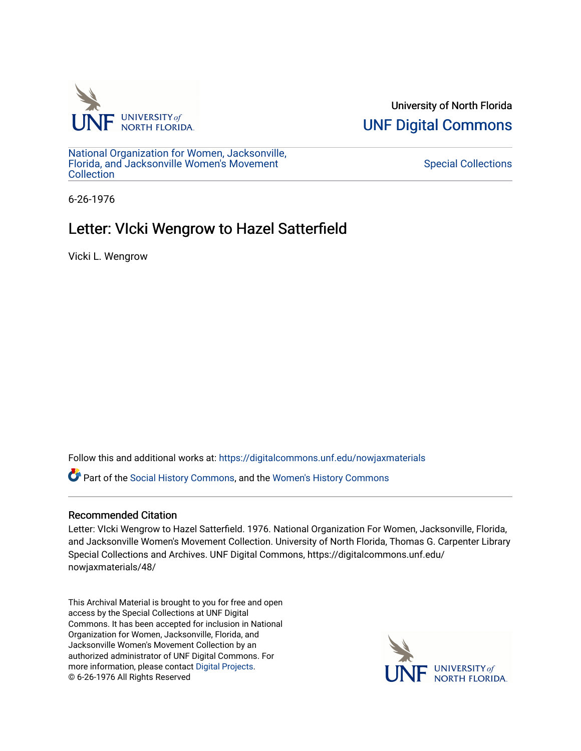

University of North Florida [UNF Digital Commons](https://digitalcommons.unf.edu/) 

[National Organization for Women, Jacksonville,](https://digitalcommons.unf.edu/nowjaxmaterials) [Florida, and Jacksonville Women's Movement](https://digitalcommons.unf.edu/nowjaxmaterials) [Collection](https://digitalcommons.unf.edu/nowjaxmaterials) 

## [Special Collections](https://digitalcommons.unf.edu/special_collections)

6-26-1976

## Letter: VIcki Wengrow to Hazel Satterfield

Vicki L. Wengrow

Follow this and additional works at: [https://digitalcommons.unf.edu/nowjaxmaterials](https://digitalcommons.unf.edu/nowjaxmaterials?utm_source=digitalcommons.unf.edu%2Fnowjaxmaterials%2F48&utm_medium=PDF&utm_campaign=PDFCoverPages) 

Part of the [Social History Commons](http://network.bepress.com/hgg/discipline/506?utm_source=digitalcommons.unf.edu%2Fnowjaxmaterials%2F48&utm_medium=PDF&utm_campaign=PDFCoverPages), and the [Women's History Commons](http://network.bepress.com/hgg/discipline/507?utm_source=digitalcommons.unf.edu%2Fnowjaxmaterials%2F48&utm_medium=PDF&utm_campaign=PDFCoverPages)

## Recommended Citation

Letter: VIcki Wengrow to Hazel Satterfield. 1976. National Organization For Women, Jacksonville, Florida, and Jacksonville Women's Movement Collection. University of North Florida, Thomas G. Carpenter Library Special Collections and Archives. UNF Digital Commons, https://digitalcommons.unf.edu/ nowjaxmaterials/48/

This Archival Material is brought to you for free and open access by the Special Collections at UNF Digital Commons. It has been accepted for inclusion in National Organization for Women, Jacksonville, Florida, and Jacksonville Women's Movement Collection by an authorized administrator of UNF Digital Commons. For more information, please contact [Digital Projects](mailto:lib-digital@unf.edu). © 6-26-1976 All Rights Reserved